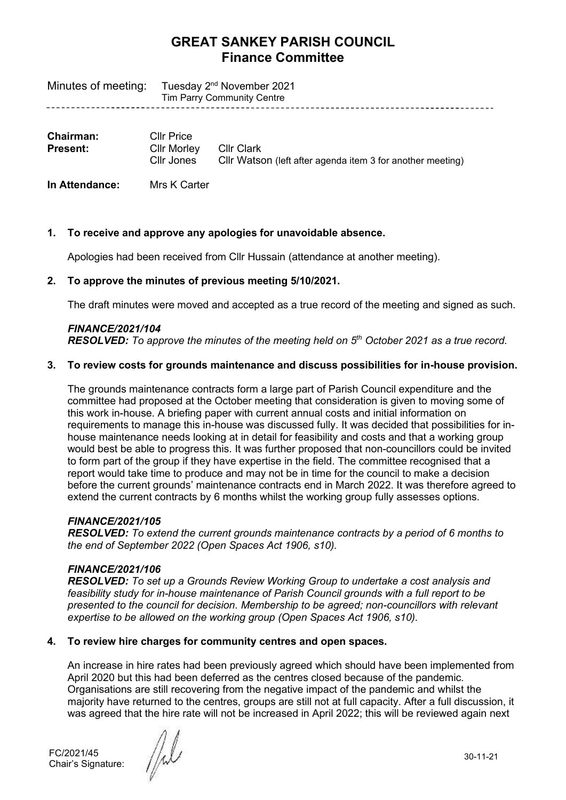| Minutes of meeting: Tuesday 2 <sup>nd</sup> November 2021 |
|-----------------------------------------------------------|
| Tim Parry Community Centre                                |

| <b>Chairman:</b> | <b>Cllr Price</b>                    |                                                            |
|------------------|--------------------------------------|------------------------------------------------------------|
| <b>Present:</b>  | Cllr Morley Cllr Clark<br>Cllr Jones | CIIr Watson (left after agenda item 3 for another meeting) |

**In Attendance:** Mrs K Carter

### **1. To receive and approve any apologies for unavoidable absence.**

Apologies had been received from Cllr Hussain (attendance at another meeting).

### **2. To approve the minutes of previous meeting 5/10/2021.**

The draft minutes were moved and accepted as a true record of the meeting and signed as such.

### *FINANCE/2021/104*

*RESOLVED: To approve the minutes of the meeting held on 5 th October 2021 as a true record.*

### **3. To review costs for grounds maintenance and discuss possibilities for in-house provision.**

The grounds maintenance contracts form a large part of Parish Council expenditure and the committee had proposed at the October meeting that consideration is given to moving some of this work in-house. A briefing paper with current annual costs and initial information on requirements to manage this in-house was discussed fully. It was decided that possibilities for inhouse maintenance needs looking at in detail for feasibility and costs and that a working group would best be able to progress this. It was further proposed that non-councillors could be invited to form part of the group if they have expertise in the field. The committee recognised that a report would take time to produce and may not be in time for the council to make a decision before the current grounds' maintenance contracts end in March 2022. It was therefore agreed to extend the current contracts by 6 months whilst the working group fully assesses options.

### *FINANCE/2021/105*

*RESOLVED: To extend the current grounds maintenance contracts by a period of 6 months to the end of September 2022 (Open Spaces Act 1906, s10).*

### *FINANCE/2021/106*

*RESOLVED: To set up a Grounds Review Working Group to undertake a cost analysis and feasibility study for in-house maintenance of Parish Council grounds with a full report to be presented to the council for decision. Membership to be agreed; non-councillors with relevant expertise to be allowed on the working group (Open Spaces Act 1906, s10).*

### **4. To review hire charges for community centres and open spaces.**

An increase in hire rates had been previously agreed which should have been implemented from April 2020 but this had been deferred as the centres closed because of the pandemic. Organisations are still recovering from the negative impact of the pandemic and whilst the majority have returned to the centres, groups are still not at full capacity. After a full discussion, it was agreed that the hire rate will not be increased in April 2022; this will be reviewed again next

FC/2021/45 Chair's Signature: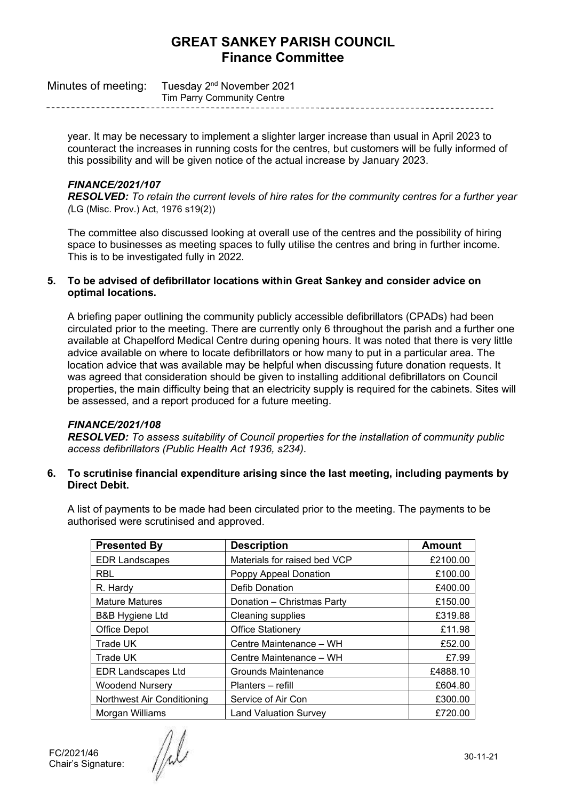| Minutes of meeting: Tuesday 2 <sup>nd</sup> November 2021 |
|-----------------------------------------------------------|
| Tim Parry Community Centre                                |

year. It may be necessary to implement a slighter larger increase than usual in April 2023 to counteract the increases in running costs for the centres, but customers will be fully informed of this possibility and will be given notice of the actual increase by January 2023.

### *FINANCE/2021/107*

*RESOLVED: To retain the current levels of hire rates for the community centres for a further year (*LG (Misc. Prov.) Act, 1976 s19(2))

The committee also discussed looking at overall use of the centres and the possibility of hiring space to businesses as meeting spaces to fully utilise the centres and bring in further income. This is to be investigated fully in 2022.

#### **5. To be advised of defibrillator locations within Great Sankey and consider advice on optimal locations.**

A briefing paper outlining the community publicly accessible defibrillators (CPADs) had been circulated prior to the meeting. There are currently only 6 throughout the parish and a further one available at Chapelford Medical Centre during opening hours. It was noted that there is very little advice available on where to locate defibrillators or how many to put in a particular area. The location advice that was available may be helpful when discussing future donation requests. It was agreed that consideration should be given to installing additional defibrillators on Council properties, the main difficulty being that an electricity supply is required for the cabinets. Sites will be assessed, and a report produced for a future meeting.

### *FINANCE/2021/108*

*RESOLVED: To assess suitability of Council properties for the installation of community public access defibrillators (Public Health Act 1936, s234).*

### **6. To scrutinise financial expenditure arising since the last meeting, including payments by Direct Debit.**

A list of payments to be made had been circulated prior to the meeting. The payments to be authorised were scrutinised and approved.

| <b>Presented By</b>        | <b>Description</b>           | <b>Amount</b> |
|----------------------------|------------------------------|---------------|
| <b>EDR Landscapes</b>      | Materials for raised bed VCP | £2100.00      |
| <b>RBL</b>                 | Poppy Appeal Donation        | £100.00       |
| R. Hardy                   | <b>Defib Donation</b>        | £400.00       |
| <b>Mature Matures</b>      | Donation - Christmas Party   | £150.00       |
| <b>B&amp;B Hygiene Ltd</b> | <b>Cleaning supplies</b>     | £319.88       |
| Office Depot               | <b>Office Stationery</b>     | £11.98        |
| Trade UK                   | Centre Maintenance - WH      | £52.00        |
| Trade UK                   | Centre Maintenance - WH      | £7.99         |
| <b>EDR Landscapes Ltd</b>  | <b>Grounds Maintenance</b>   | £4888.10      |
| <b>Woodend Nursery</b>     | Planters - refill            | £604.80       |
| Northwest Air Conditioning | Service of Air Con           | £300.00       |
| Morgan Williams            | <b>Land Valuation Survey</b> | £720.00       |

FC/2021/46 Chair's Signature:

/W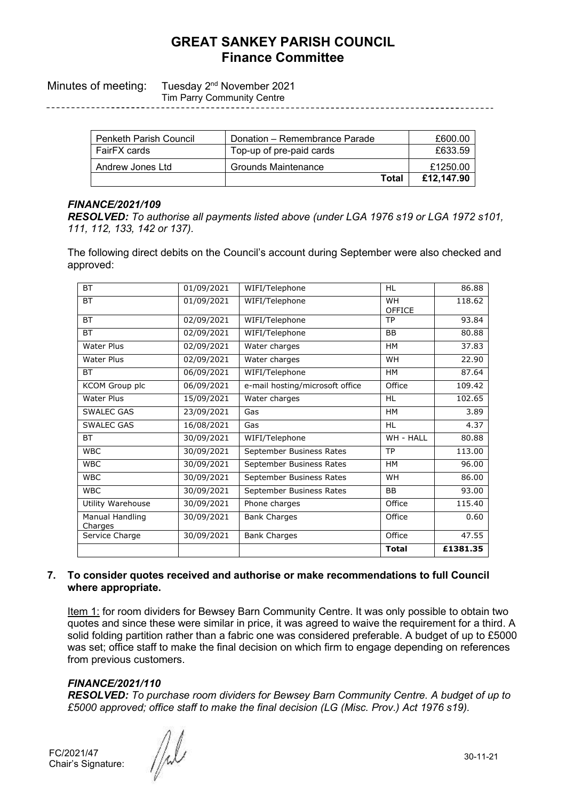Minutes of meeting: Tuesday 2<sup>nd</sup> November 2021

Tim Parry Community Centre

| <b>Penketh Parish Council</b> | Donation – Remembrance Parade | £600.00    |
|-------------------------------|-------------------------------|------------|
| FairFX cards                  | Top-up of pre-paid cards      | £633.59    |
| Andrew Jones Ltd              | Grounds Maintenance           | £1250.00   |
|                               | Total                         | £12.147.90 |

## *FINANCE/2021/109*

*RESOLVED: To authorise all payments listed above (under LGA 1976 s19 or LGA 1972 s101, 111, 112, 133, 142 or 137).*

The following direct debits on the Council's account during September were also checked and approved:

| <b>BT</b>                  | 01/09/2021 | WIFI/Telephone                  | <b>HL</b>                  | 86.88    |
|----------------------------|------------|---------------------------------|----------------------------|----------|
| <b>BT</b>                  | 01/09/2021 | WIFI/Telephone                  | <b>WH</b><br><b>OFFICE</b> | 118.62   |
| <b>BT</b>                  | 02/09/2021 | WIFI/Telephone                  | <b>TP</b>                  | 93.84    |
| <b>BT</b>                  | 02/09/2021 | WIFI/Telephone                  | <b>BB</b>                  | 80.88    |
| <b>Water Plus</b>          | 02/09/2021 | Water charges                   | <b>HM</b>                  | 37.83    |
| <b>Water Plus</b>          | 02/09/2021 | Water charges                   | <b>WH</b>                  | 22.90    |
| <b>BT</b>                  | 06/09/2021 | WIFI/Telephone                  | <b>HM</b>                  | 87.64    |
| KCOM Group plc             | 06/09/2021 | e-mail hosting/microsoft office | Office                     | 109.42   |
| Water Plus                 | 15/09/2021 | Water charges                   | <b>HL</b>                  | 102.65   |
| SWALEC GAS                 | 23/09/2021 | Gas                             | <b>HM</b>                  | 3.89     |
| <b>SWALEC GAS</b>          | 16/08/2021 | Gas                             | <b>HL</b>                  | 4.37     |
| <b>BT</b>                  | 30/09/2021 | WIFI/Telephone                  | WH - HALL                  | 80.88    |
| <b>WBC</b>                 | 30/09/2021 | September Business Rates        | <b>TP</b>                  | 113.00   |
| <b>WBC</b>                 | 30/09/2021 | September Business Rates        | <b>HM</b>                  | 96.00    |
| <b>WBC</b>                 | 30/09/2021 | September Business Rates        | <b>WH</b>                  | 86.00    |
| <b>WBC</b>                 | 30/09/2021 | September Business Rates        | <b>BB</b>                  | 93.00    |
| Utility Warehouse          | 30/09/2021 | Phone charges                   | Office                     | 115.40   |
| Manual Handling<br>Charges | 30/09/2021 | <b>Bank Charges</b>             | Office                     | 0.60     |
| Service Charge             | 30/09/2021 | <b>Bank Charges</b>             | Office                     | 47.55    |
|                            |            |                                 | <b>Total</b>               | £1381.35 |

### **7. To consider quotes received and authorise or make recommendations to full Council where appropriate.**

Item 1: for room dividers for Bewsey Barn Community Centre. It was only possible to obtain two quotes and since these were similar in price, it was agreed to waive the requirement for a third. A solid folding partition rather than a fabric one was considered preferable. A budget of up to £5000 was set; office staff to make the final decision on which firm to engage depending on references from previous customers.

### *FINANCE/2021/110*

*RESOLVED: To purchase room dividers for Bewsey Barn Community Centre. A budget of up to £5000 approved; office staff to make the final decision (LG (Misc. Prov.) Act 1976 s19).*

FC/2021/47 Chair's Signature:

/d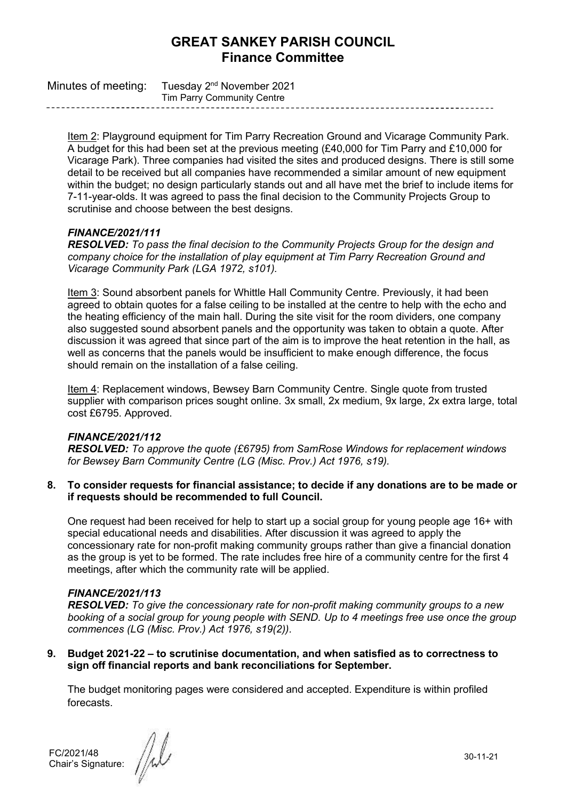| Minutes of meeting: Tuesday $2^{nd}$ November 2021 |  |
|----------------------------------------------------|--|
| Tim Parry Community Centre                         |  |

Item 2: Playground equipment for Tim Parry Recreation Ground and Vicarage Community Park. A budget for this had been set at the previous meeting (£40,000 for Tim Parry and £10,000 for Vicarage Park). Three companies had visited the sites and produced designs. There is still some detail to be received but all companies have recommended a similar amount of new equipment within the budget; no design particularly stands out and all have met the brief to include items for 7-11-year-olds. It was agreed to pass the final decision to the Community Projects Group to scrutinise and choose between the best designs.

### *FINANCE/2021/111*

*RESOLVED: To pass the final decision to the Community Projects Group for the design and company choice for the installation of play equipment at Tim Parry Recreation Ground and Vicarage Community Park (LGA 1972, s101).*

Item 3: Sound absorbent panels for Whittle Hall Community Centre. Previously, it had been agreed to obtain quotes for a false ceiling to be installed at the centre to help with the echo and the heating efficiency of the main hall. During the site visit for the room dividers, one company also suggested sound absorbent panels and the opportunity was taken to obtain a quote. After discussion it was agreed that since part of the aim is to improve the heat retention in the hall, as well as concerns that the panels would be insufficient to make enough difference, the focus should remain on the installation of a false ceiling.

Item 4: Replacement windows, Bewsey Barn Community Centre. Single quote from trusted supplier with comparison prices sought online. 3x small, 2x medium, 9x large, 2x extra large, total cost £6795. Approved.

### *FINANCE/2021/112*

*RESOLVED: To approve the quote (£6795) from SamRose Windows for replacement windows for Bewsey Barn Community Centre (LG (Misc. Prov.) Act 1976, s19).*

**8. To consider requests for financial assistance; to decide if any donations are to be made or if requests should be recommended to full Council.**

One request had been received for help to start up a social group for young people age 16+ with special educational needs and disabilities. After discussion it was agreed to apply the concessionary rate for non-profit making community groups rather than give a financial donation as the group is yet to be formed. The rate includes free hire of a community centre for the first 4 meetings, after which the community rate will be applied.

### *FINANCE/2021/113*

*RESOLVED: To give the concessionary rate for non-profit making community groups to a new booking of a social group for young people with SEND. Up to 4 meetings free use once the group commences (LG (Misc. Prov.) Act 1976, s19(2)).*

**9. Budget 2021-22 – to scrutinise documentation, and when satisfied as to correctness to sign off financial reports and bank reconciliations for September.**

The budget monitoring pages were considered and accepted. Expenditure is within profiled forecasts.

FC/2021/48 Chair's Signature: